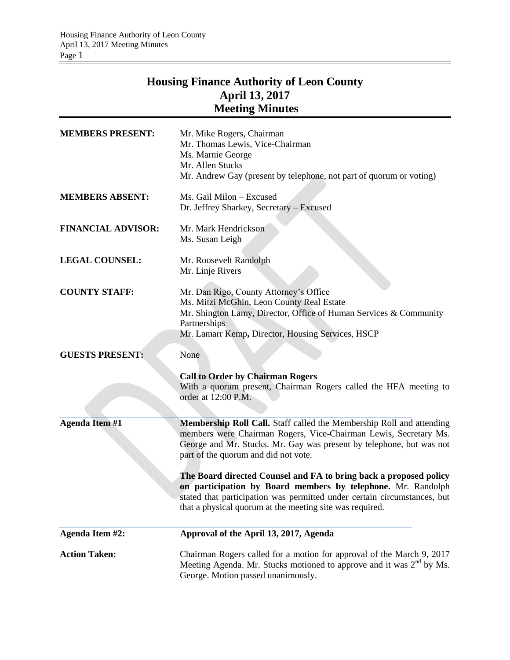## **Housing Finance Authority of Leon County April 13, 2017 Meeting Minutes**

| <b>MEMBERS PRESENT:</b>   | Mr. Mike Rogers, Chairman<br>Mr. Thomas Lewis, Vice-Chairman<br>Ms. Marnie George<br>Mr. Allen Stucks<br>Mr. Andrew Gay (present by telephone, not part of quorum or voting)                                                                                              |
|---------------------------|---------------------------------------------------------------------------------------------------------------------------------------------------------------------------------------------------------------------------------------------------------------------------|
| <b>MEMBERS ABSENT:</b>    | Ms. Gail Milon - Excused<br>Dr. Jeffrey Sharkey, Secretary - Excused                                                                                                                                                                                                      |
| <b>FINANCIAL ADVISOR:</b> | Mr. Mark Hendrickson<br>Ms. Susan Leigh                                                                                                                                                                                                                                   |
| <b>LEGAL COUNSEL:</b>     | Mr. Roosevelt Randolph<br>Mr. Linje Rivers                                                                                                                                                                                                                                |
| <b>COUNTY STAFF:</b>      | Mr. Dan Rigo, County Attorney's Office<br>Ms. Mitzi McGhin, Leon County Real Estate<br>Mr. Shington Lamy, Director, Office of Human Services & Community<br>Partnerships<br>Mr. Lamarr Kemp, Director, Housing Services, HSCP                                             |
| <b>GUESTS PRESENT:</b>    | None                                                                                                                                                                                                                                                                      |
|                           | <b>Call to Order by Chairman Rogers</b><br>With a quorum present, Chairman Rogers called the HFA meeting to<br>order at 12:00 P.M.                                                                                                                                        |
| <b>Agenda Item #1</b>     | Membership Roll Call. Staff called the Membership Roll and attending<br>members were Chairman Rogers, Vice-Chairman Lewis, Secretary Ms.<br>George and Mr. Stucks. Mr. Gay was present by telephone, but was not<br>part of the quorum and did not vote.                  |
|                           | The Board directed Counsel and FA to bring back a proposed policy<br>on participation by Board members by telephone. Mr. Randolph<br>stated that participation was permitted under certain circumstances, but<br>that a physical quorum at the meeting site was required. |
| Agenda Item #2:           | Approval of the April 13, 2017, Agenda                                                                                                                                                                                                                                    |
| <b>Action Taken:</b>      | Chairman Rogers called for a motion for approval of the March 9, 2017<br>Meeting Agenda. Mr. Stucks motioned to approve and it was $2nd$ by Ms.<br>George. Motion passed unanimously.                                                                                     |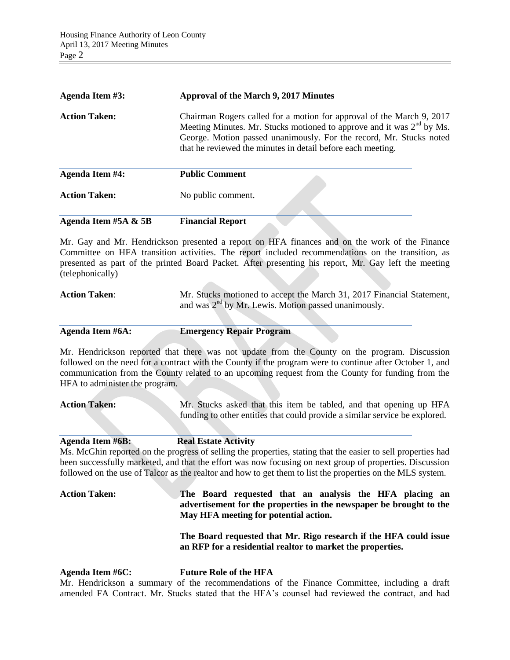| Agenda Item #3:                                                                                                                                                                                                                                                                                                                | <b>Approval of the March 9, 2017 Minutes</b>                                                                                                                                                                                                                                           |
|--------------------------------------------------------------------------------------------------------------------------------------------------------------------------------------------------------------------------------------------------------------------------------------------------------------------------------|----------------------------------------------------------------------------------------------------------------------------------------------------------------------------------------------------------------------------------------------------------------------------------------|
| <b>Action Taken:</b>                                                                                                                                                                                                                                                                                                           | Chairman Rogers called for a motion for approval of the March 9, 2017<br>Meeting Minutes. Mr. Stucks motioned to approve and it was $2nd$ by Ms.<br>George. Motion passed unanimously. For the record, Mr. Stucks noted<br>that he reviewed the minutes in detail before each meeting. |
| <b>Agenda Item #4:</b>                                                                                                                                                                                                                                                                                                         | <b>Public Comment</b>                                                                                                                                                                                                                                                                  |
| <b>Action Taken:</b>                                                                                                                                                                                                                                                                                                           | No public comment.                                                                                                                                                                                                                                                                     |
| Agenda Item #5A & 5B                                                                                                                                                                                                                                                                                                           | <b>Financial Report</b>                                                                                                                                                                                                                                                                |
| Mr. Gay and Mr. Hendrickson presented a report on HFA finances and on the work of the Finance<br>Committee on HFA transition activities. The report included recommendations on the transition, as<br>presented as part of the printed Board Packet. After presenting his report, Mr. Gay left the meeting<br>(telephonically) |                                                                                                                                                                                                                                                                                        |
| <b>Action Taken:</b>                                                                                                                                                                                                                                                                                                           | Mr. Stucks motioned to accept the March 31, 2017 Financial Statement,<br>and was $2^{nd}$ by Mr. Lewis. Motion passed unanimously.                                                                                                                                                     |
| <b>Agenda Item #6A:</b>                                                                                                                                                                                                                                                                                                        | <b>Emergency Repair Program</b>                                                                                                                                                                                                                                                        |
|                                                                                                                                                                                                                                                                                                                                | Mr. Hendrickson reported that there was not update from the County on the program. Discussion<br>followed on the need for a contract with the County if the program were to continue after October 1, and                                                                              |

followed on the need for a contract with the County if the program were to continue after October 1, and communication from the County related to an upcoming request from the County for funding from the HFA to administer the program.

Action Taken: Mr. Stucks asked that this item be tabled, and that opening up HFA funding to other entities that could provide a similar service be explored.

**Agenda Item #6B: Real Estate Activity**

Ms. McGhin reported on the progress of selling the properties, stating that the easier to sell properties had been successfully marketed, and that the effort was now focusing on next group of properties. Discussion followed on the use of Talcor as the realtor and how to get them to list the properties on the MLS system.

**Action Taken: The Board requested that an analysis the HFA placing an advertisement for the properties in the newspaper be brought to the May HFA meeting for potential action. The Board requested that Mr. Rigo research if the HFA could issue an RFP for a residential realtor to market the properties.**

**Agenda Item #6C: Future Role of the HFA** Mr. Hendrickson a summary of the recommendations of the Finance Committee, including a draft amended FA Contract. Mr. Stucks stated that the HFA's counsel had reviewed the contract, and had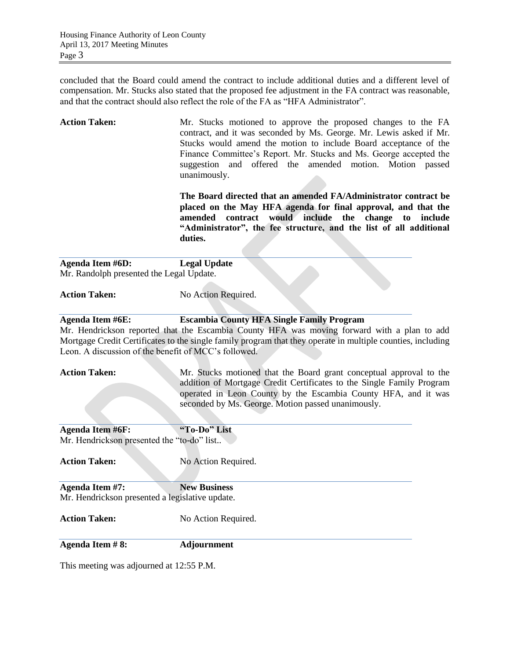concluded that the Board could amend the contract to include additional duties and a different level of compensation. Mr. Stucks also stated that the proposed fee adjustment in the FA contract was reasonable, and that the contract should also reflect the role of the FA as "HFA Administrator".

| <b>Action Taken:</b> | Mr. Stucks motioned to approve the proposed changes to the FA       |
|----------------------|---------------------------------------------------------------------|
|                      | contract, and it was seconded by Ms. George. Mr. Lewis asked if Mr. |
|                      | Stucks would amend the motion to include Board acceptance of the    |
|                      | Finance Committee's Report. Mr. Stucks and Ms. George accepted the  |
|                      | suggestion and offered the amended motion. Motion passed            |
|                      | unanimously.                                                        |
|                      |                                                                     |
|                      | The Board directed that an amended FA/Administrator contract be     |
|                      | placed on the May HFA agenda for final approval, and that the       |

**placed on the May HFA agenda for final approval, and that the amended contract would include the change to include "Administrator", the fee structure, and the list of all additional duties.**

**Agenda Item #6D: Legal Update** Mr. Randolph presented the Legal Update.

Action Taken: No Action Required.

**Agenda Item #6E: Escambia County HFA Single Family Program** Mr. Hendrickson reported that the Escambia County HFA was moving forward with a plan to add Mortgage Credit Certificates to the single family program that they operate in multiple counties, including Leon. A discussion of the benefit of MCC's followed.

**Action Taken:** Mr. Stucks motioned that the Board grant conceptual approval to the addition of Mortgage Credit Certificates to the Single Family Program operated in Leon County by the Escambia County HFA, and it was seconded by Ms. George. Motion passed unanimously.

| <b>Agenda Item #6F:</b>                         | "To-Do" List        |  |  |  |
|-------------------------------------------------|---------------------|--|--|--|
| Mr. Hendrickson presented the "to-do" list      |                     |  |  |  |
| <b>Action Taken:</b>                            | No Action Required. |  |  |  |
| Agenda Item #7:                                 | <b>New Business</b> |  |  |  |
| Mr. Hendrickson presented a legislative update. |                     |  |  |  |
| <b>Action Taken:</b>                            | No Action Required. |  |  |  |
| Agenda Item #8:                                 | <b>Adjournment</b>  |  |  |  |

This meeting was adjourned at 12:55 P.M.